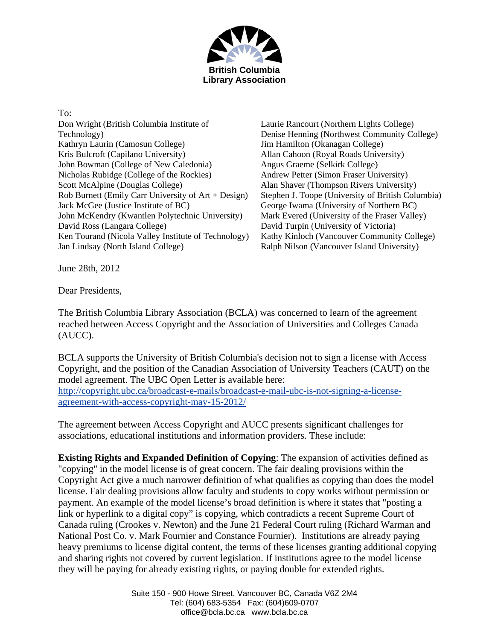

To: Don Wright (British Columbia Institute of Technology) Kathryn Laurin (Camosun College) Kris Bulcroft (Capilano University) John Bowman (College of New Caledonia) Nicholas Rubidge (College of the Rockies) Scott McAlpine (Douglas College) Rob Burnett (Emily Carr University of Art + Design) Jack McGee (Justice Institute of BC) John McKendry (Kwantlen Polytechnic University) David Ross (Langara College) Ken Tourand (Nicola Valley Institute of Technology) Jan Lindsay (North Island College)

Laurie Rancourt (Northern Lights College) Denise Henning (Northwest Community College) Jim Hamilton (Okanagan College) Allan Cahoon (Royal Roads University) Angus Graeme (Selkirk College) Andrew Petter (Simon Fraser University) Alan Shaver (Thompson Rivers University) Stephen J. Toope (University of British Columbia) George Iwama (University of Northern BC) Mark Evered (University of the Fraser Valley) David Turpin (University of Victoria) Kathy Kinloch (Vancouver Community College) Ralph Nilson (Vancouver Island University)

June 28th, 2012

Dear Presidents,

The British Columbia Library Association (BCLA) was concerned to learn of the agreement reached between Access Copyright and the Association of Universities and Colleges Canada (AUCC).

BCLA supports the University of British Columbia's decision not to sign a license with Access Copyright, and the position of the Canadian Association of University Teachers (CAUT) on the model agreement. The UBC Open Letter is available here: http://copyright.ubc.ca/broadcast-e-mails/broadcast-e-mail-ubc-is-not-signing-a-licenseagreement-with-access-copyright-may-15-2012/

The agreement between Access Copyright and AUCC presents significant challenges for associations, educational institutions and information providers. These include:

**Existing Rights and Expanded Definition of Copying**: The expansion of activities defined as "copying" in the model license is of great concern. The fair dealing provisions within the Copyright Act give a much narrower definition of what qualifies as copying than does the model license. Fair dealing provisions allow faculty and students to copy works without permission or payment. An example of the model license's broad definition is where it states that "posting a link or hyperlink to a digital copy" is copying, which contradicts a recent Supreme Court of Canada ruling (Crookes v. Newton) and the June 21 Federal Court ruling (Richard Warman and National Post Co. v. Mark Fournier and Constance Fournier). Institutions are already paying heavy premiums to license digital content, the terms of these licenses granting additional copying and sharing rights not covered by current legislation. If institutions agree to the model license they will be paying for already existing rights, or paying double for extended rights.